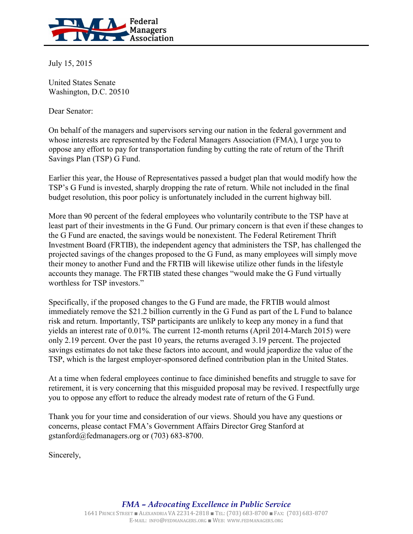

July 15, 2015

United States Senate Washington, D.C. 20510

Dear Senator:

On behalf of the managers and supervisors serving our nation in the federal government and whose interests are represented by the Federal Managers Association (FMA), I urge you to oppose any effort to pay for transportation funding by cutting the rate of return of the Thrift Savings Plan (TSP) G Fund.

Earlier this year, the House of Representatives passed a budget plan that would modify how the TSP's G Fund is invested, sharply dropping the rate of return. While not included in the final budget resolution, this poor policy is unfortunately included in the current highway bill.

More than 90 percent of the federal employees who voluntarily contribute to the TSP have at least part of their investments in the G Fund. Our primary concern is that even if these changes to the G Fund are enacted, the savings would be nonexistent. The Federal Retirement Thrift Investment Board (FRTIB), the independent agency that administers the TSP, has challenged the projected savings of the changes proposed to the G Fund, as many employees will simply move their money to another Fund and the FRTIB will likewise utilize other funds in the lifestyle accounts they manage. The FRTIB stated these changes "would make the G Fund virtually worthless for TSP investors."

Specifically, if the proposed changes to the G Fund are made, the FRTIB would almost immediately remove the \$21.2 billion currently in the G Fund as part of the L Fund to balance risk and return. Importantly, TSP participants are unlikely to keep any money in a fund that yields an interest rate of 0.01%. The current 12-month returns (April 2014-March 2015) were only 2.19 percent. Over the past 10 years, the returns averaged 3.19 percent. The projected savings estimates do not take these factors into account, and would jeapordize the value of the TSP, which is the largest employer-sponsored defined contribution plan in the United States.

At a time when federal employees continue to face diminished benefits and struggle to save for retirement, it is very concerning that this misguided proposal may be revived. I respectfully urge you to oppose any effort to reduce the already modest rate of return of the G Fund.

Thank you for your time and consideration of our views. Should you have any questions or concerns, please contact FMA's Government Affairs Director Greg Stanford at gstanford@fedmanagers.org or (703) 683-8700.

Sincerely,